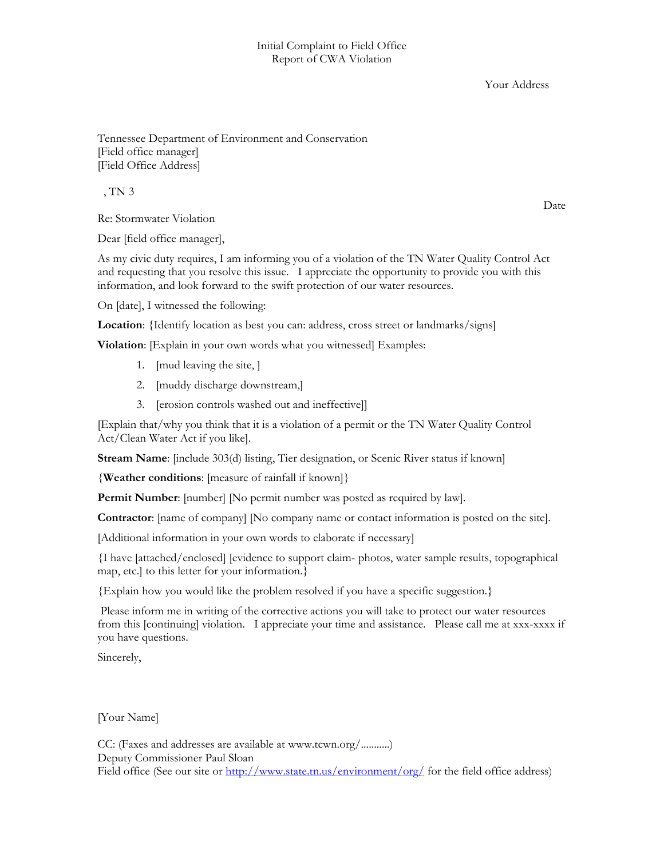Your Address

Tennessee Department of Environment and Conservation [Field office manager] [Field Office Address]

, TN 3

Re: Stormwater Violation

Dear [field office manager],

As my civic duty requires, I am informing you of a violation of the TN Water Quality Control Act and requesting that you resolve this issue. I appreciate the opportunity to provide you with this information, and look forward to the swift protection of our water resources.

On [date], I witnessed the following:

**Location**: {Identify location as best you can: address, cross street or landmarks/signs]

**Violation**: [Explain in your own words what you witnessed] Examples:

- 1. [mud leaving the site, ]
- 2. [muddy discharge downstream,]
- 3. [erosion controls washed out and ineffective]]

[Explain that/why you think that it is a violation of a permit or the TN Water Quality Control Act/Clean Water Act if you like].

**Stream Name**: [include 303(d) listing, Tier designation, or Scenic River status if known]

{**Weather conditions**: [measure of rainfall if known]}

**Permit Number**: [number] [No permit number was posted as required by law].

**Contractor**: [name of company] [No company name or contact information is posted on the site].

[Additional information in your own words to elaborate if necessary]

{I have [attached/enclosed] [evidence to support claim- photos, water sample results, topographical map, etc.] to this letter for your information.}

{Explain how you would like the problem resolved if you have a specific suggestion.}

 Please inform me in writing of the corrective actions you will take to protect our water resources from this [continuing] violation. I appreciate your time and assistance. Please call me at xxx-xxxx if you have questions.

Sincerely,

[Your Name]

CC: (Faxes and addresses are available at www.tcwn.org/...........) Deputy Commissioner Paul Sloan Field office (See our site or  $\frac{http://www.state.tn.us/environment/org/}{http://www.state.tn.us/environment/org/}{$  for the field office address)

Date